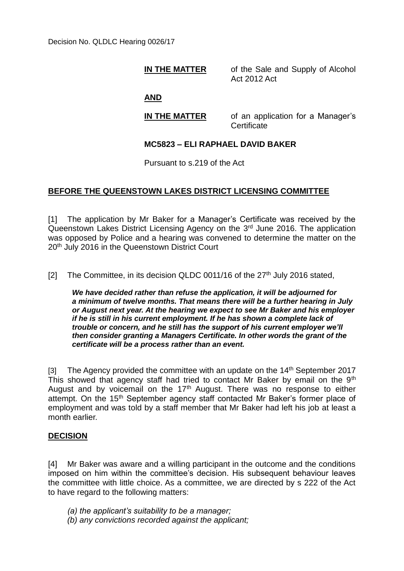#### **IN THE MATTER** of the Sale and Supply of Alcohol Act 2012 Act

# **AND**

**IN THE MATTER** of an application for a Manager's **Certificate** 

## **MC5823 – ELI RAPHAEL DAVID BAKER**

Pursuant to s.219 of the Act

## **BEFORE THE QUEENSTOWN LAKES DISTRICT LICENSING COMMITTEE**

[1] The application by Mr Baker for a Manager's Certificate was received by the Queenstown Lakes District Licensing Agency on the 3<sup>rd</sup> June 2016. The application was opposed by Police and a hearing was convened to determine the matter on the 20<sup>th</sup> July 2016 in the Queenstown District Court

[2] The Committee, in its decision QLDC 0011/16 of the 27<sup>th</sup> July 2016 stated,

*We have decided rather than refuse the application, it will be adjourned for a minimum of twelve months. That means there will be a further hearing in July or August next year. At the hearing we expect to see Mr Baker and his employer if he is still in his current employment. If he has shown a complete lack of trouble or concern, and he still has the support of his current employer we'll then consider granting a Managers Certificate. In other words the grant of the certificate will be a process rather than an event.*

[3] The Agency provided the committee with an update on the  $14<sup>th</sup>$  September 2017 This showed that agency staff had tried to contact Mr Baker by email on the 9<sup>th</sup> August and by voicemail on the  $17<sup>th</sup>$  August. There was no response to either attempt. On the 15<sup>th</sup> September agency staff contacted Mr Baker's former place of employment and was told by a staff member that Mr Baker had left his job at least a month earlier.

## **DECISION**

[4] Mr Baker was aware and a willing participant in the outcome and the conditions imposed on him within the committee's decision. His subsequent behaviour leaves the committee with little choice. As a committee, we are directed by s 222 of the Act to have regard to the following matters:

- *(a) the applicant's suitability to be a manager;*
- *(b) any convictions recorded against the applicant;*